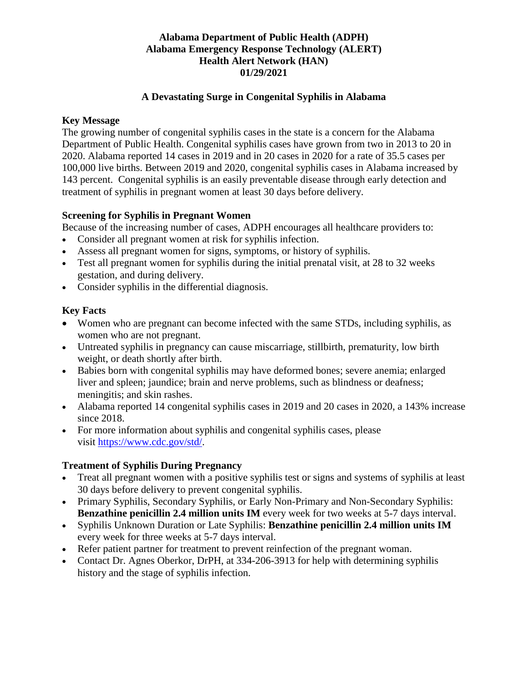# **Alabama Department of Public Health (ADPH) Alabama Emergency Response Technology (ALERT) Health Alert Network (HAN) 01/29/2021**

#### **A Devastating Surge in Congenital Syphilis in Alabama**

#### **Key Message**

The growing number of congenital syphilis cases in the state is a concern for the Alabama Department of Public Health. Congenital syphilis cases have grown from two in 2013 to 20 in 2020. Alabama reported 14 cases in 2019 and in 20 cases in 2020 for a rate of 35.5 cases per 100,000 live births. Between 2019 and 2020, congenital syphilis cases in Alabama increased by 143 percent. Congenital syphilis is an easily preventable disease through early detection and treatment of syphilis in pregnant women at least 30 days before delivery.

#### **Screening for Syphilis in Pregnant Women**

Because of the increasing number of cases, ADPH encourages all healthcare providers to:

- Consider all pregnant women at risk for syphilis infection.
- Assess all pregnant women for signs, symptoms, or history of syphilis.
- Test all pregnant women for syphilis during the initial prenatal visit, at 28 to 32 weeks gestation, and during delivery.
- Consider syphilis in the differential diagnosis.

# **Key Facts**

- Women who are pregnant can become infected with the same STDs, including syphilis, as women who are not pregnant.
- Untreated syphilis in pregnancy can cause miscarriage, still birth, prematurity, low birth weight, or death shortly after birth.
- Babies born with congenital syphilis may have deformed bones; severe anemia; enlarged liver and spleen; jaundice; brain and nerve problems, such as blindness or deafness; meningitis; and skin rashes.
- Alabama reported 14 congenital syphilis cases in 2019 and 20 cases in 2020, a 143% increase since 2018.
- For more information about syphilis and congenital syphilis cases, please visit [https://www.cdc.gov/std/.](https://www.cdc.gov/std/)

# **Treatment of Syphilis During Pregnancy**

- Treat all pregnant women with a positive syphilis test or signs and systems of syphilis at least 30 days before delivery to prevent congenital syphilis.
- Primary Syphilis, Secondary Syphilis, or Early Non-Primary and Non-Secondary Syphilis: **Benzathine penicillin 2.4 million units IM** every week for two weeks at 5-7 days interval.
- Syphilis Unknown Duration or Late Syphilis: **Benzathine penicillin 2.4 million units IM** every week for three weeks at 5-7 days interval.
- Refer patient partner for treatment to prevent reinfection of the pregnant woman.
- Contact Dr. Agnes Oberkor, DrPH, at 334-206-3913 for help with determining syphilis history and the stage of syphilis infection.